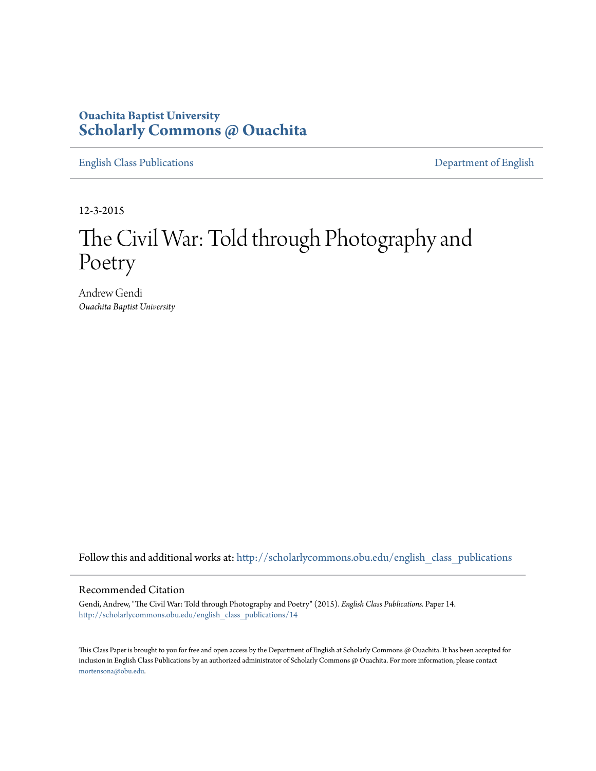# **Ouachita Baptist University [Scholarly Commons @ Ouachita](http://scholarlycommons.obu.edu?utm_source=scholarlycommons.obu.edu%2Fenglish_class_publications%2F14&utm_medium=PDF&utm_campaign=PDFCoverPages)**

[English Class Publications](http://scholarlycommons.obu.edu/english_class_publications?utm_source=scholarlycommons.obu.edu%2Fenglish_class_publications%2F14&utm_medium=PDF&utm_campaign=PDFCoverPages) [Department of English](http://scholarlycommons.obu.edu/english?utm_source=scholarlycommons.obu.edu%2Fenglish_class_publications%2F14&utm_medium=PDF&utm_campaign=PDFCoverPages)

12-3-2015

# The Civil War: Told through Photography and Poetry

Andrew Gendi *Ouachita Baptist University*

Follow this and additional works at: [http://scholarlycommons.obu.edu/english\\_class\\_publications](http://scholarlycommons.obu.edu/english_class_publications?utm_source=scholarlycommons.obu.edu%2Fenglish_class_publications%2F14&utm_medium=PDF&utm_campaign=PDFCoverPages)

#### Recommended Citation

Gendi, Andrew, "The Civil War: Told through Photography and Poetry" (2015). *English Class Publications.* Paper 14. [http://scholarlycommons.obu.edu/english\\_class\\_publications/14](http://scholarlycommons.obu.edu/english_class_publications/14?utm_source=scholarlycommons.obu.edu%2Fenglish_class_publications%2F14&utm_medium=PDF&utm_campaign=PDFCoverPages)

This Class Paper is brought to you for free and open access by the Department of English at Scholarly Commons @ Ouachita. It has been accepted for inclusion in English Class Publications by an authorized administrator of Scholarly Commons @ Ouachita. For more information, please contact [mortensona@obu.edu](mailto:mortensona@obu.edu).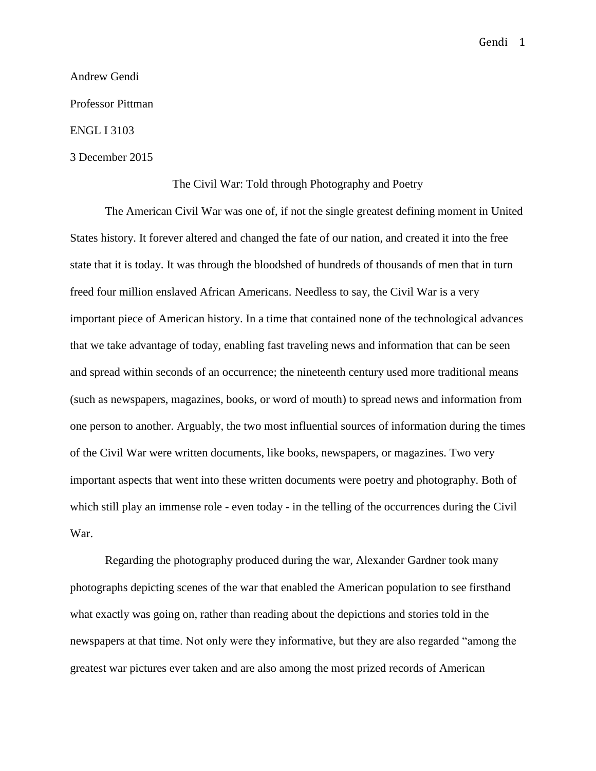## Andrew Gendi

Professor Pittman

# ENGL I 3103

## 3 December 2015

# The Civil War: Told through Photography and Poetry

The American Civil War was one of, if not the single greatest defining moment in United States history. It forever altered and changed the fate of our nation, and created it into the free state that it is today. It was through the bloodshed of hundreds of thousands of men that in turn freed four million enslaved African Americans. Needless to say, the Civil War is a very important piece of American history. In a time that contained none of the technological advances that we take advantage of today, enabling fast traveling news and information that can be seen and spread within seconds of an occurrence; the nineteenth century used more traditional means (such as newspapers, magazines, books, or word of mouth) to spread news and information from one person to another. Arguably, the two most influential sources of information during the times of the Civil War were written documents, like books, newspapers, or magazines. Two very important aspects that went into these written documents were poetry and photography. Both of which still play an immense role - even today - in the telling of the occurrences during the Civil War.

Regarding the photography produced during the war, Alexander Gardner took many photographs depicting scenes of the war that enabled the American population to see firsthand what exactly was going on, rather than reading about the depictions and stories told in the newspapers at that time. Not only were they informative, but they are also regarded "among the greatest war pictures ever taken and are also among the most prized records of American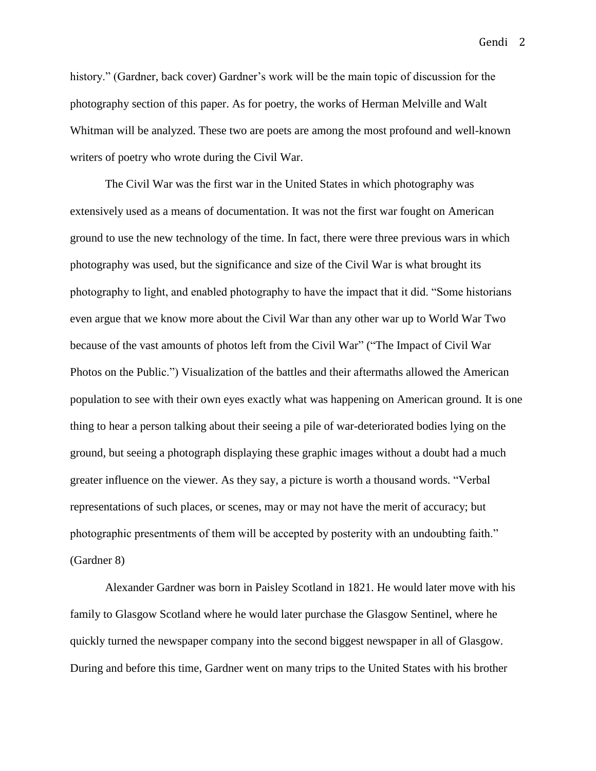history." (Gardner, back cover) Gardner's work will be the main topic of discussion for the photography section of this paper. As for poetry, the works of Herman Melville and Walt Whitman will be analyzed. These two are poets are among the most profound and well-known writers of poetry who wrote during the Civil War.

The Civil War was the first war in the United States in which photography was extensively used as a means of documentation. It was not the first war fought on American ground to use the new technology of the time. In fact, there were three previous wars in which photography was used, but the significance and size of the Civil War is what brought its photography to light, and enabled photography to have the impact that it did. "Some historians even argue that we know more about the Civil War than any other war up to World War Two because of the vast amounts of photos left from the Civil War" ("The Impact of Civil War Photos on the Public.") Visualization of the battles and their aftermaths allowed the American population to see with their own eyes exactly what was happening on American ground. It is one thing to hear a person talking about their seeing a pile of war-deteriorated bodies lying on the ground, but seeing a photograph displaying these graphic images without a doubt had a much greater influence on the viewer. As they say, a picture is worth a thousand words. "Verbal representations of such places, or scenes, may or may not have the merit of accuracy; but photographic presentments of them will be accepted by posterity with an undoubting faith." (Gardner 8)

Alexander Gardner was born in Paisley Scotland in 1821. He would later move with his family to Glasgow Scotland where he would later purchase the Glasgow Sentinel, where he quickly turned the newspaper company into the second biggest newspaper in all of Glasgow. During and before this time, Gardner went on many trips to the United States with his brother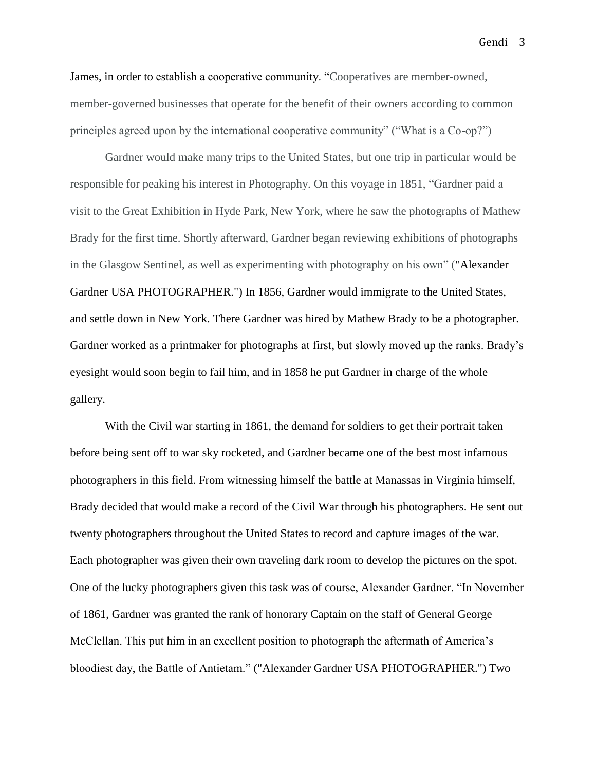James, in order to establish a cooperative community. "Cooperatives are member-owned, member-governed businesses that operate for the benefit of their owners according to common principles agreed upon by the international cooperative community" ("What is a Co-op?")

Gardner would make many trips to the United States, but one trip in particular would be responsible for peaking his interest in Photography. On this voyage in 1851, "Gardner paid a visit to the Great Exhibition in Hyde Park, New York, where he saw the photographs of Mathew Brady for the first time. Shortly afterward, Gardner began reviewing exhibitions of photographs in the Glasgow Sentinel, as well as experimenting with photography on his own" ("Alexander Gardner USA PHOTOGRAPHER.") In 1856, Gardner would immigrate to the United States, and settle down in New York. There Gardner was hired by Mathew Brady to be a photographer. Gardner worked as a printmaker for photographs at first, but slowly moved up the ranks. Brady's eyesight would soon begin to fail him, and in 1858 he put Gardner in charge of the whole gallery.

With the Civil war starting in 1861, the demand for soldiers to get their portrait taken before being sent off to war sky rocketed, and Gardner became one of the best most infamous photographers in this field. From witnessing himself the battle at Manassas in Virginia himself, Brady decided that would make a record of the Civil War through his photographers. He sent out twenty photographers throughout the United States to record and capture images of the war. Each photographer was given their own traveling dark room to develop the pictures on the spot. One of the lucky photographers given this task was of course, Alexander Gardner. "In November of 1861, Gardner was granted the rank of honorary Captain on the staff of General George McClellan. This put him in an excellent position to photograph the aftermath of America's bloodiest day, the Battle of Antietam." ("Alexander Gardner USA PHOTOGRAPHER.") Two

Gendi 3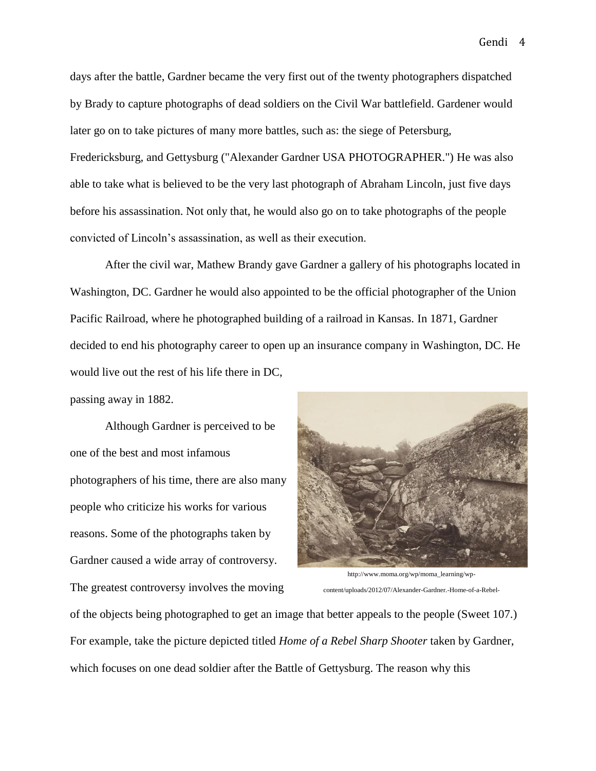days after the battle, Gardner became the very first out of the twenty photographers dispatched by Brady to capture photographs of dead soldiers on the Civil War battlefield. Gardener would later go on to take pictures of many more battles, such as: the siege of Petersburg, Fredericksburg, and Gettysburg ("Alexander Gardner USA PHOTOGRAPHER.") He was also able to take what is believed to be the very last photograph of Abraham Lincoln, just five days before his assassination. Not only that, he would also go on to take photographs of the people convicted of Lincoln's assassination, as well as their execution.

After the civil war, Mathew Brandy gave Gardner a gallery of his photographs located in Washington, DC. Gardner he would also appointed to be the official photographer of the Union Pacific Railroad, where he photographed building of a railroad in Kansas. In 1871, Gardner decided to end his photography career to open up an insurance company in Washington, DC. He would live out the rest of his life there in DC,

passing away in 1882.

Although Gardner is perceived to be one of the best and most infamous photographers of his time, there are also many people who criticize his works for various reasons. Some of the photographs taken by Gardner caused a wide array of controversy. The greatest controversy involves the moving



http://www.moma.org/wp/moma\_learning/wpcontent/uploads/2012/07/Alexander-Gardner.-Home-of-a-Rebel-

of the objects being photographed to get an image that better appeals to the people (Sweet 107.) For example, take the picture depicted titled *Home of a Rebel Sharp Shooter* taken by Gardner, which focuses on one dead soldier after the Battle of Gettysburg. The reason why this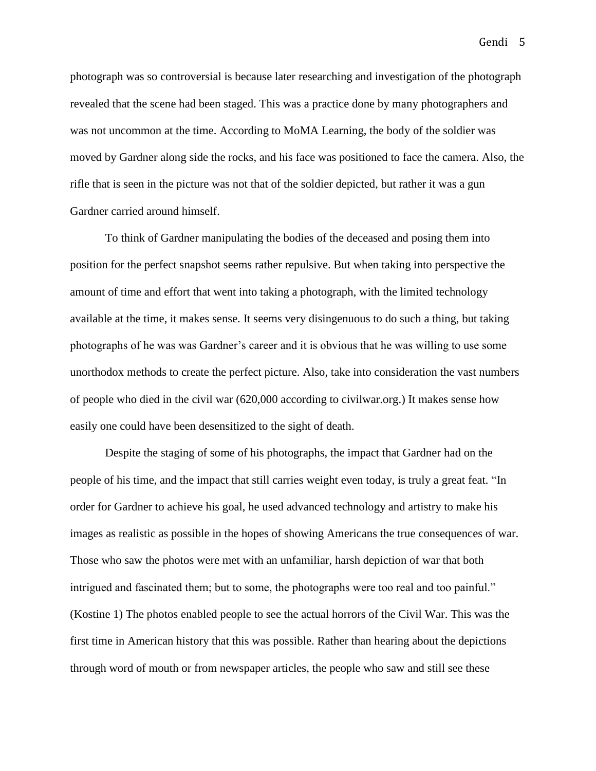photograph was so controversial is because later researching and investigation of the photograph revealed that the scene had been staged. This was a practice done by many photographers and was not uncommon at the time. According to MoMA Learning, the body of the soldier was

moved by Gardner along side the rocks, and his face was positioned to face the camera. Also, the rifle that is seen in the picture was not that of the soldier depicted, but rather it was a gun Gardner carried around himself.

To think of Gardner manipulating the bodies of the deceased and posing them into position for the perfect snapshot seems rather repulsive. But when taking into perspective the amount of time and effort that went into taking a photograph, with the limited technology available at the time, it makes sense. It seems very disingenuous to do such a thing, but taking photographs of he was was Gardner's career and it is obvious that he was willing to use some unorthodox methods to create the perfect picture. Also, take into consideration the vast numbers of people who died in the civil war (620,000 according to civilwar.org.) It makes sense how easily one could have been desensitized to the sight of death.

Despite the staging of some of his photographs, the impact that Gardner had on the people of his time, and the impact that still carries weight even today, is truly a great feat. "In order for Gardner to achieve his goal, he used advanced technology and artistry to make his images as realistic as possible in the hopes of showing Americans the true consequences of war. Those who saw the photos were met with an unfamiliar, harsh depiction of war that both intrigued and fascinated them; but to some, the photographs were too real and too painful." (Kostine 1) The photos enabled people to see the actual horrors of the Civil War. This was the first time in American history that this was possible. Rather than hearing about the depictions through word of mouth or from newspaper articles, the people who saw and still see these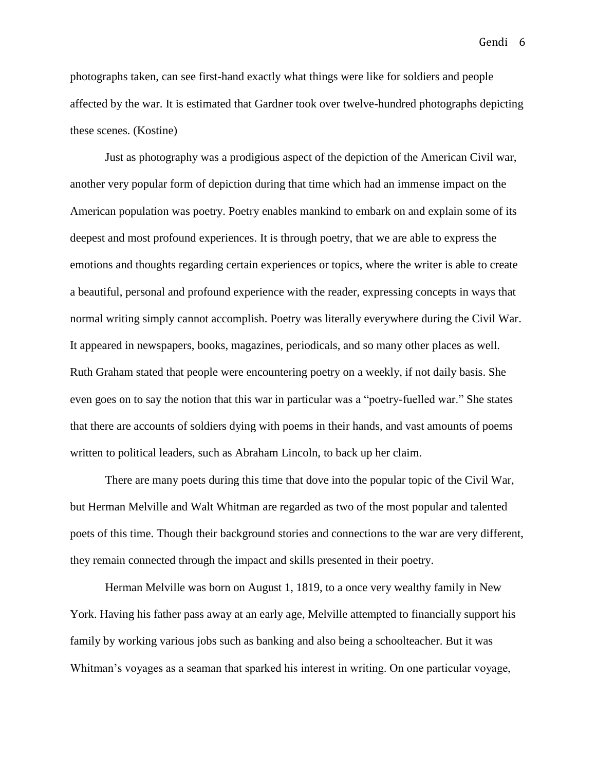photographs taken, can see first-hand exactly what things were like for soldiers and people affected by the war. It is estimated that Gardner took over twelve-hundred photographs depicting these scenes. (Kostine)

Just as photography was a prodigious aspect of the depiction of the American Civil war, another very popular form of depiction during that time which had an immense impact on the American population was poetry. Poetry enables mankind to embark on and explain some of its deepest and most profound experiences. It is through poetry, that we are able to express the emotions and thoughts regarding certain experiences or topics, where the writer is able to create a beautiful, personal and profound experience with the reader, expressing concepts in ways that normal writing simply cannot accomplish. Poetry was literally everywhere during the Civil War. It appeared in newspapers, books, magazines, periodicals, and so many other places as well. Ruth Graham stated that people were encountering poetry on a weekly, if not daily basis. She even goes on to say the notion that this war in particular was a "poetry-fuelled war." She states that there are accounts of soldiers dying with poems in their hands, and vast amounts of poems written to political leaders, such as Abraham Lincoln, to back up her claim.

There are many poets during this time that dove into the popular topic of the Civil War, but Herman Melville and Walt Whitman are regarded as two of the most popular and talented poets of this time. Though their background stories and connections to the war are very different, they remain connected through the impact and skills presented in their poetry.

Herman Melville was born on August 1, 1819, to a once very wealthy family in New York. Having his father pass away at an early age, Melville attempted to financially support his family by working various jobs such as banking and also being a schoolteacher. But it was Whitman's voyages as a seaman that sparked his interest in writing. On one particular voyage,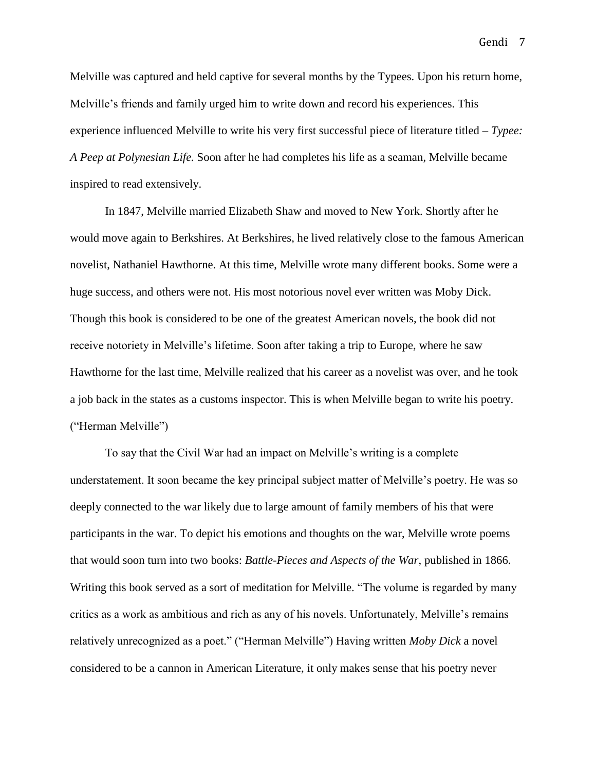Melville was captured and held captive for several months by the Typees. Upon his return home, Melville's friends and family urged him to write down and record his experiences. This experience influenced Melville to write his very first successful piece of literature titled – *Typee: A Peep at Polynesian Life.* Soon after he had completes his life as a seaman, Melville became inspired to read extensively.

In 1847, Melville married Elizabeth Shaw and moved to New York. Shortly after he would move again to Berkshires. At Berkshires, he lived relatively close to the famous American novelist, Nathaniel Hawthorne. At this time, Melville wrote many different books. Some were a huge success, and others were not. His most notorious novel ever written was Moby Dick. Though this book is considered to be one of the greatest American novels, the book did not receive notoriety in Melville's lifetime. Soon after taking a trip to Europe, where he saw Hawthorne for the last time, Melville realized that his career as a novelist was over, and he took a job back in the states as a customs inspector. This is when Melville began to write his poetry. ("Herman Melville")

To say that the Civil War had an impact on Melville's writing is a complete understatement. It soon became the key principal subject matter of Melville's poetry. He was so deeply connected to the war likely due to large amount of family members of his that were participants in the war. To depict his emotions and thoughts on the war, Melville wrote poems that would soon turn into two books: *Battle-Pieces and Aspects of the War*, published in 1866. Writing this book served as a sort of meditation for Melville. "The volume is regarded by many critics as a work as ambitious and rich as any of his novels. Unfortunately, Melville's remains relatively unrecognized as a poet." ("Herman Melville") Having written *Moby Dick* a novel considered to be a cannon in American Literature, it only makes sense that his poetry never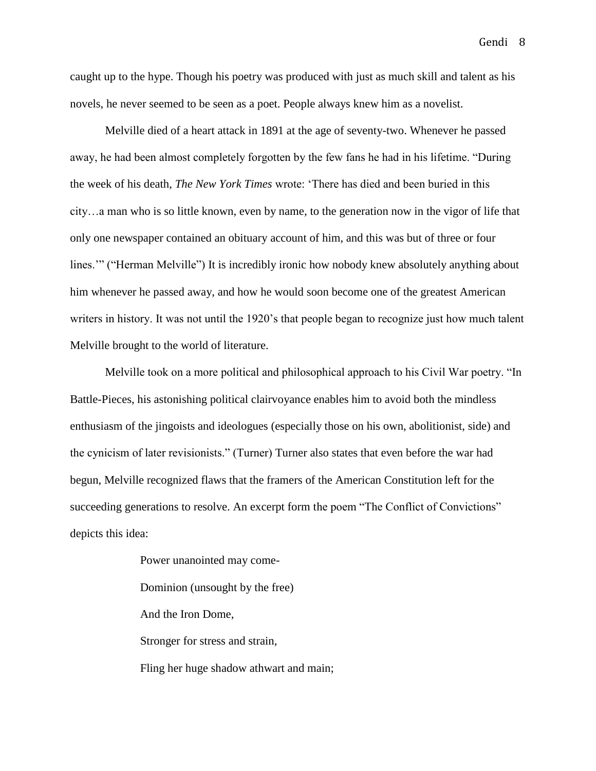caught up to the hype. Though his poetry was produced with just as much skill and talent as his novels, he never seemed to be seen as a poet. People always knew him as a novelist.

Melville died of a heart attack in 1891 at the age of seventy-two. Whenever he passed away, he had been almost completely forgotten by the few fans he had in his lifetime. "During the week of his death, *The New York Times* wrote: 'There has died and been buried in this city…a man who is so little known, even by name, to the generation now in the vigor of life that only one newspaper contained an obituary account of him, and this was but of three or four lines.'" ("Herman Melville") It is incredibly ironic how nobody knew absolutely anything about him whenever he passed away, and how he would soon become one of the greatest American writers in history. It was not until the 1920's that people began to recognize just how much talent Melville brought to the world of literature.

Melville took on a more political and philosophical approach to his Civil War poetry. "In Battle-Pieces, his astonishing political clairvoyance enables him to avoid both the mindless enthusiasm of the jingoists and ideologues (especially those on his own, abolitionist, side) and the cynicism of later revisionists." (Turner) Turner also states that even before the war had begun, Melville recognized flaws that the framers of the American Constitution left for the succeeding generations to resolve. An excerpt form the poem "The Conflict of Convictions" depicts this idea:

> Power unanointed may come-Dominion (unsought by the free) And the Iron Dome, Stronger for stress and strain, Fling her huge shadow athwart and main;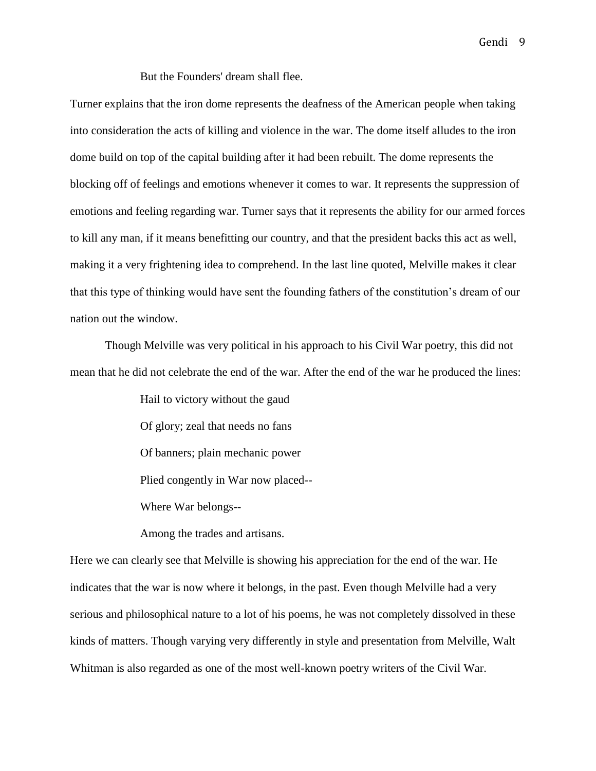But the Founders' dream shall flee.

Turner explains that the iron dome represents the deafness of the American people when taking into consideration the acts of killing and violence in the war. The dome itself alludes to the iron dome build on top of the capital building after it had been rebuilt. The dome represents the blocking off of feelings and emotions whenever it comes to war. It represents the suppression of emotions and feeling regarding war. Turner says that it represents the ability for our armed forces to kill any man, if it means benefitting our country, and that the president backs this act as well, making it a very frightening idea to comprehend. In the last line quoted, Melville makes it clear that this type of thinking would have sent the founding fathers of the constitution's dream of our nation out the window.

Though Melville was very political in his approach to his Civil War poetry, this did not mean that he did not celebrate the end of the war. After the end of the war he produced the lines:

> Hail to victory without the gaud Of glory; zeal that needs no fans Of banners; plain mechanic power Plied congently in War now placed-- Where War belongs--

Among the trades and artisans.

Here we can clearly see that Melville is showing his appreciation for the end of the war. He indicates that the war is now where it belongs, in the past. Even though Melville had a very serious and philosophical nature to a lot of his poems, he was not completely dissolved in these kinds of matters. Though varying very differently in style and presentation from Melville, Walt Whitman is also regarded as one of the most well-known poetry writers of the Civil War.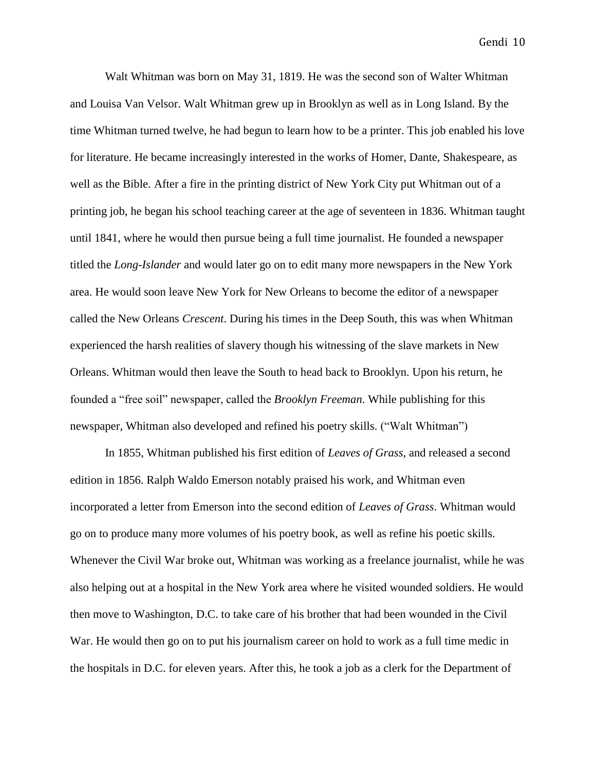Walt Whitman was born on May 31, 1819. He was the second son of Walter Whitman and Louisa Van Velsor. Walt Whitman grew up in Brooklyn as well as in Long Island. By the time Whitman turned twelve, he had begun to learn how to be a printer. This job enabled his love for literature. He became increasingly interested in the works of Homer, Dante, Shakespeare, as well as the Bible. After a fire in the printing district of New York City put Whitman out of a printing job, he began his school teaching career at the age of seventeen in 1836. Whitman taught until 1841, where he would then pursue being a full time journalist. He founded a newspaper titled the *Long-Islander* and would later go on to edit many more newspapers in the New York area. He would soon leave New York for New Orleans to become the editor of a newspaper called the New Orleans *Crescent*. During his times in the Deep South, this was when Whitman experienced the harsh realities of slavery though his witnessing of the slave markets in New Orleans. Whitman would then leave the South to head back to Brooklyn. Upon his return, he founded a "free soil" newspaper, called the *Brooklyn Freeman*. While publishing for this newspaper, Whitman also developed and refined his poetry skills. ("Walt Whitman")

In 1855, Whitman published his first edition of *Leaves of Grass*, and released a second edition in 1856. Ralph Waldo Emerson notably praised his work, and Whitman even incorporated a letter from Emerson into the second edition of *Leaves of Grass*. Whitman would go on to produce many more volumes of his poetry book, as well as refine his poetic skills. Whenever the Civil War broke out, Whitman was working as a freelance journalist, while he was also helping out at a hospital in the New York area where he visited wounded soldiers. He would then move to Washington, D.C. to take care of his brother that had been wounded in the Civil War. He would then go on to put his journalism career on hold to work as a full time medic in the hospitals in D.C. for eleven years. After this, he took a job as a clerk for the Department of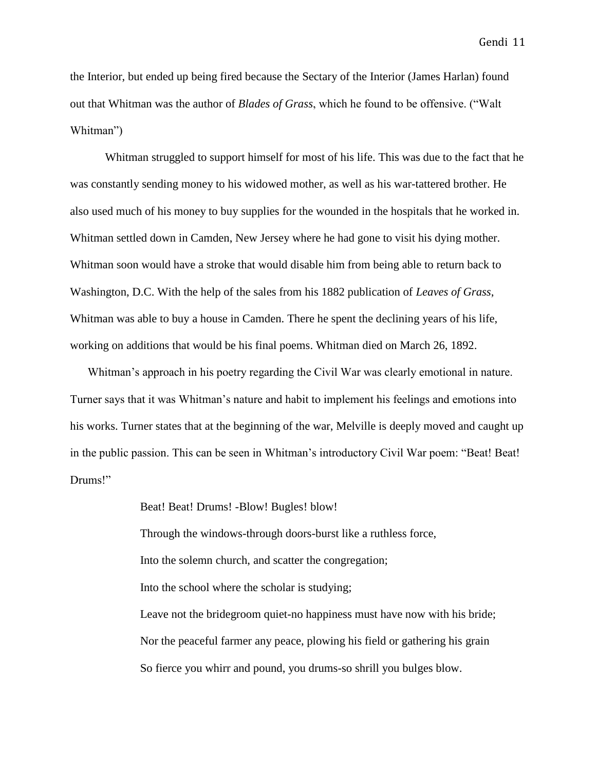the Interior, but ended up being fired because the Sectary of the Interior (James Harlan) found out that Whitman was the author of *Blades of Grass*, which he found to be offensive. ("Walt Whitman")

Whitman struggled to support himself for most of his life. This was due to the fact that he was constantly sending money to his widowed mother, as well as his war-tattered brother. He also used much of his money to buy supplies for the wounded in the hospitals that he worked in. Whitman settled down in Camden, New Jersey where he had gone to visit his dying mother. Whitman soon would have a stroke that would disable him from being able to return back to Washington, D.C. With the help of the sales from his 1882 publication of *Leaves of Grass*, Whitman was able to buy a house in Camden. There he spent the declining years of his life, working on additions that would be his final poems. Whitman died on March 26, 1892.

Whitman's approach in his poetry regarding the Civil War was clearly emotional in nature. Turner says that it was Whitman's nature and habit to implement his feelings and emotions into his works. Turner states that at the beginning of the war, Melville is deeply moved and caught up in the public passion. This can be seen in Whitman's introductory Civil War poem: "Beat! Beat! Drums!"

> Beat! Beat! Drums! -Blow! Bugles! blow! Through the windows-through doors-burst like a ruthless force, Into the solemn church, and scatter the congregation; Into the school where the scholar is studying; Leave not the bridegroom quiet-no happiness must have now with his bride; Nor the peaceful farmer any peace, plowing his field or gathering his grain So fierce you whirr and pound, you drums-so shrill you bulges blow.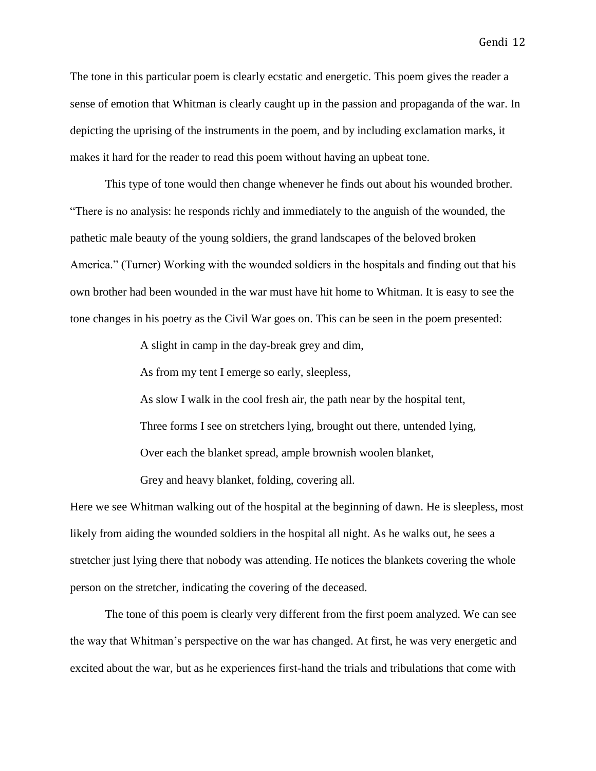The tone in this particular poem is clearly ecstatic and energetic. This poem gives the reader a sense of emotion that Whitman is clearly caught up in the passion and propaganda of the war. In depicting the uprising of the instruments in the poem, and by including exclamation marks, it makes it hard for the reader to read this poem without having an upbeat tone.

This type of tone would then change whenever he finds out about his wounded brother. "There is no analysis: he responds richly and immediately to the anguish of the wounded, the pathetic male beauty of the young soldiers, the grand landscapes of the beloved broken America." (Turner) Working with the wounded soldiers in the hospitals and finding out that his own brother had been wounded in the war must have hit home to Whitman. It is easy to see the tone changes in his poetry as the Civil War goes on. This can be seen in the poem presented:

A slight in camp in the day-break grey and dim,

As from my tent I emerge so early, sleepless,

As slow I walk in the cool fresh air, the path near by the hospital tent, Three forms I see on stretchers lying, brought out there, untended lying, Over each the blanket spread, ample brownish woolen blanket,

Grey and heavy blanket, folding, covering all.

Here we see Whitman walking out of the hospital at the beginning of dawn. He is sleepless, most likely from aiding the wounded soldiers in the hospital all night. As he walks out, he sees a stretcher just lying there that nobody was attending. He notices the blankets covering the whole person on the stretcher, indicating the covering of the deceased.

The tone of this poem is clearly very different from the first poem analyzed. We can see the way that Whitman's perspective on the war has changed. At first, he was very energetic and excited about the war, but as he experiences first-hand the trials and tribulations that come with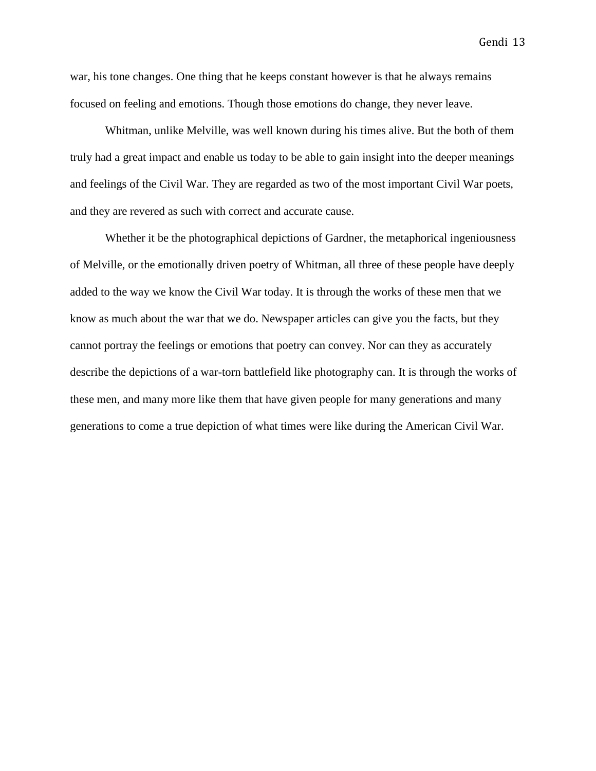war, his tone changes. One thing that he keeps constant however is that he always remains focused on feeling and emotions. Though those emotions do change, they never leave.

Whitman, unlike Melville, was well known during his times alive. But the both of them truly had a great impact and enable us today to be able to gain insight into the deeper meanings and feelings of the Civil War. They are regarded as two of the most important Civil War poets, and they are revered as such with correct and accurate cause.

Whether it be the photographical depictions of Gardner, the metaphorical ingeniousness of Melville, or the emotionally driven poetry of Whitman, all three of these people have deeply added to the way we know the Civil War today. It is through the works of these men that we know as much about the war that we do. Newspaper articles can give you the facts, but they cannot portray the feelings or emotions that poetry can convey. Nor can they as accurately describe the depictions of a war-torn battlefield like photography can. It is through the works of these men, and many more like them that have given people for many generations and many generations to come a true depiction of what times were like during the American Civil War.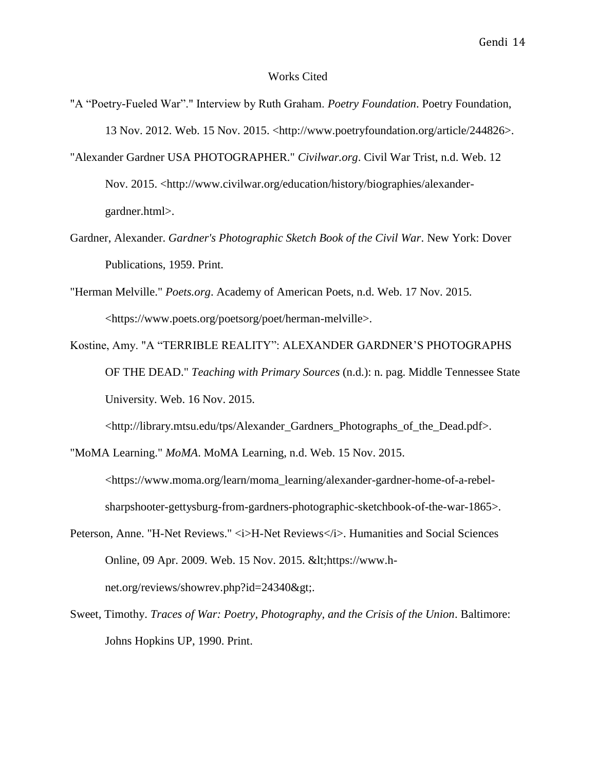## Works Cited

- "A "Poetry-Fueled War"." Interview by Ruth Graham. *Poetry Foundation*. Poetry Foundation, 13 Nov. 2012. Web. 15 Nov. 2015. <http://www.poetryfoundation.org/article/244826>.
- "Alexander Gardner USA PHOTOGRAPHER." *Civilwar.org*. Civil War Trist, n.d. Web. 12 Nov. 2015. <http://www.civilwar.org/education/history/biographies/alexandergardner.html>.
- Gardner, Alexander. *Gardner's Photographic Sketch Book of the Civil War*. New York: Dover Publications, 1959. Print.
- "Herman Melville." *Poets.org*. Academy of American Poets, n.d. Web. 17 Nov. 2015. <https://www.poets.org/poetsorg/poet/herman-melville>.
- Kostine, Amy. "A "TERRIBLE REALITY": ALEXANDER GARDNER'S PHOTOGRAPHS OF THE DEAD." *Teaching with Primary Sources* (n.d.): n. pag. Middle Tennessee State University. Web. 16 Nov. 2015.

<http://library.mtsu.edu/tps/Alexander\_Gardners\_Photographs\_of\_the\_Dead.pdf>.

"MoMA Learning." *MoMA*. MoMA Learning, n.d. Web. 15 Nov. 2015.

<https://www.moma.org/learn/moma\_learning/alexander-gardner-home-of-a-rebelsharpshooter-gettysburg-from-gardners-photographic-sketchbook-of-the-war-1865>.

- Peterson, Anne. "H-Net Reviews." <i>H-Net Reviews</i></i>. Humanities and Social Sciences Online, 09 Apr. 2009. Web. 15 Nov. 2015. < https://www.hnet.org/reviews/showrev.php?id=24340>.
- Sweet, Timothy. *Traces of War: Poetry, Photography, and the Crisis of the Union*. Baltimore: Johns Hopkins UP, 1990. Print.